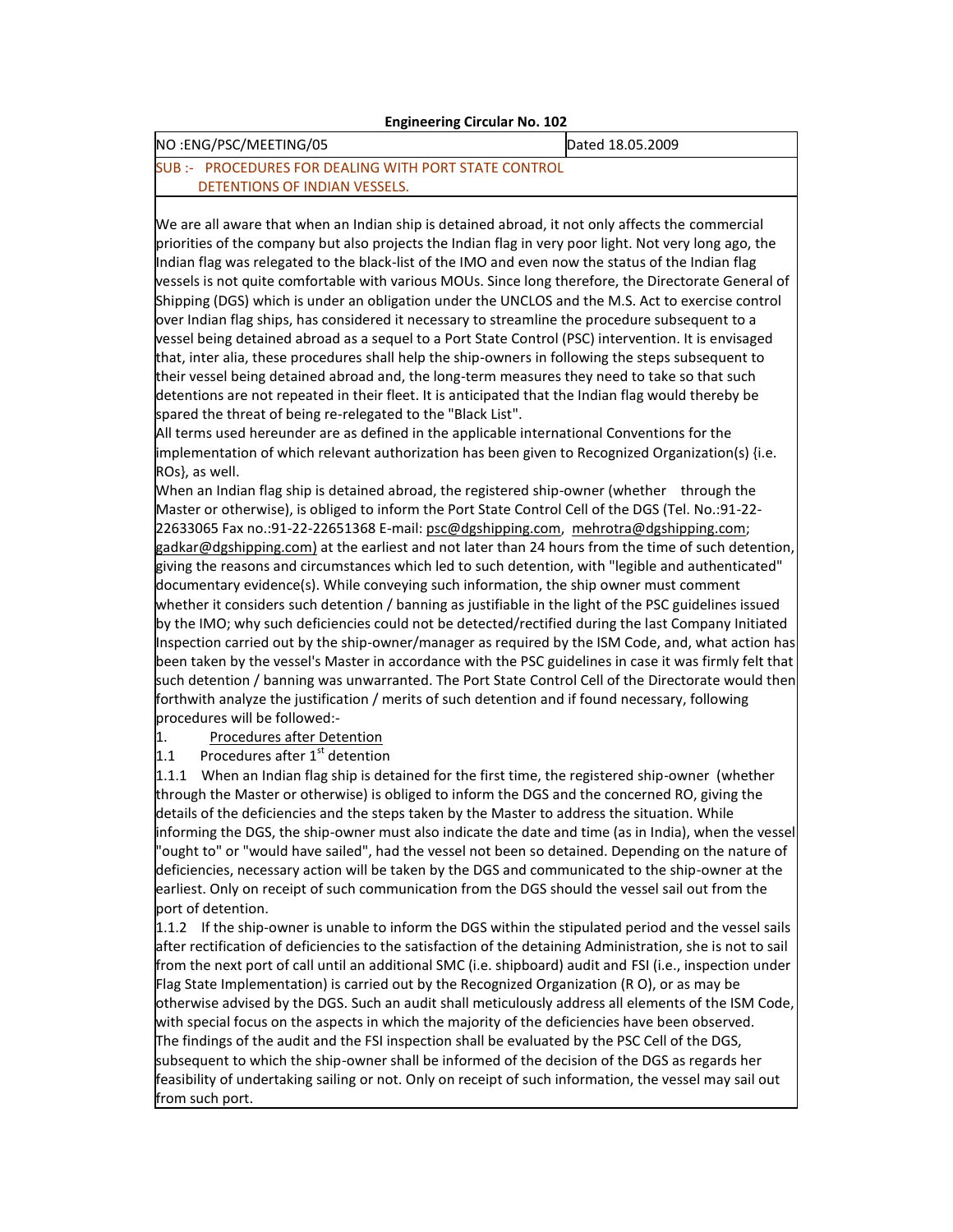## **Engineering Circular No. 102**

## NO :ENG/PSC/MEETING/05 Dated 18.05.2009

## SUB :- PROCEDURES FOR DEALING WITH PORT STATE CONTROL DETENTIONS OF INDIAN VESSELS.

We are all aware that when an Indian ship is detained abroad, it not only affects the commercial priorities of the company but also projects the Indian flag in very poor light. Not very long ago, the Indian flag was relegated to the black-list of the IMO and even now the status of the Indian flag vessels is not quite comfortable with various MOUs. Since long therefore, the Directorate General of Shipping (DGS) which is under an obligation under the UNCLOS and the M.S. Act to exercise control over Indian flag ships, has considered it necessary to streamline the procedure subsequent to a vessel being detained abroad as a sequel to a Port State Control (PSC) intervention. It is envisaged that, inter alia, these procedures shall help the ship-owners in following the steps subsequent to their vessel being detained abroad and, the long-term measures they need to take so that such detentions are not repeated in their fleet. It is anticipated that the Indian flag would thereby be spared the threat of being re-relegated to the "Black List".

All terms used hereunder are as defined in the applicable international Conventions for the implementation of which relevant authorization has been given to Recognized Organization(s) {i.e. ROs}, as well.

When an Indian flag ship is detained abroad, the registered ship-owner (whether through the Master or otherwise), is obliged to inform the Port State Control Cell of the DGS (Tel. No.:91-22 22633065 Fax no.:91-22-22651368 E-mail: [psc@dgshipping.com,](mailto:psc@dgshipping.com) [mehrotra@dgshipping.com;](mailto:mehrotra@dgshipping.com) gadkar@dgshipping.com) at the earliest and not later than 24 hours from the time of such detention, giving the reasons and circumstances which led to such detention, with "legible and authenticated" documentary evidence(s). While conveying such information, the ship owner must comment whether it considers such detention / banning as justifiable in the light of the PSC guidelines issued by the IMO; why such deficiencies could not be detected/rectified during the last Company Initiated Inspection carried out by the ship-owner/manager as required by the ISM Code, and, what action has been taken by the vessel's Master in accordance with the PSC guidelines in case it was firmly felt that such detention / banning was unwarranted. The Port State Control Cell of the Directorate would then forthwith analyze the justification / merits of such detention and if found necessary, following procedures will be followed:-

1. Procedures after Detention

1.1 Procedures after  $1<sup>st</sup>$  detention

1.1.1 When an Indian flag ship is detained for the first time, the registered ship-owner (whether through the Master or otherwise) is obliged to inform the DGS and the concerned RO, giving the details of the deficiencies and the steps taken by the Master to address the situation. While informing the DGS, the ship-owner must also indicate the date and time (as in India), when the vessel "ought to" or "would have sailed", had the vessel not been so detained. Depending on the nature of deficiencies, necessary action will be taken by the DGS and communicated to the ship-owner at the earliest. Only on receipt of such communication from the DGS should the vessel sail out from the port of detention.

1.1.2 If the ship-owner is unable to inform the DGS within the stipulated period and the vessel sails after rectification of deficiencies to the satisfaction of the detaining Administration, she is not to sail from the next port of call until an additional SMC (i.e. shipboard) audit and FSI (i.e., inspection under Flag State Implementation) is carried out by the Recognized Organization (R O), or as may be otherwise advised by the DGS. Such an audit shall meticulously address all elements of the ISM Code, with special focus on the aspects in which the majority of the deficiencies have been observed. The findings of the audit and the FSI inspection shall be evaluated by the PSC Cell of the DGS, subsequent to which the ship-owner shall be informed of the decision of the DGS as regards her feasibility of undertaking sailing or not. Only on receipt of such information, the vessel may sail out from such port.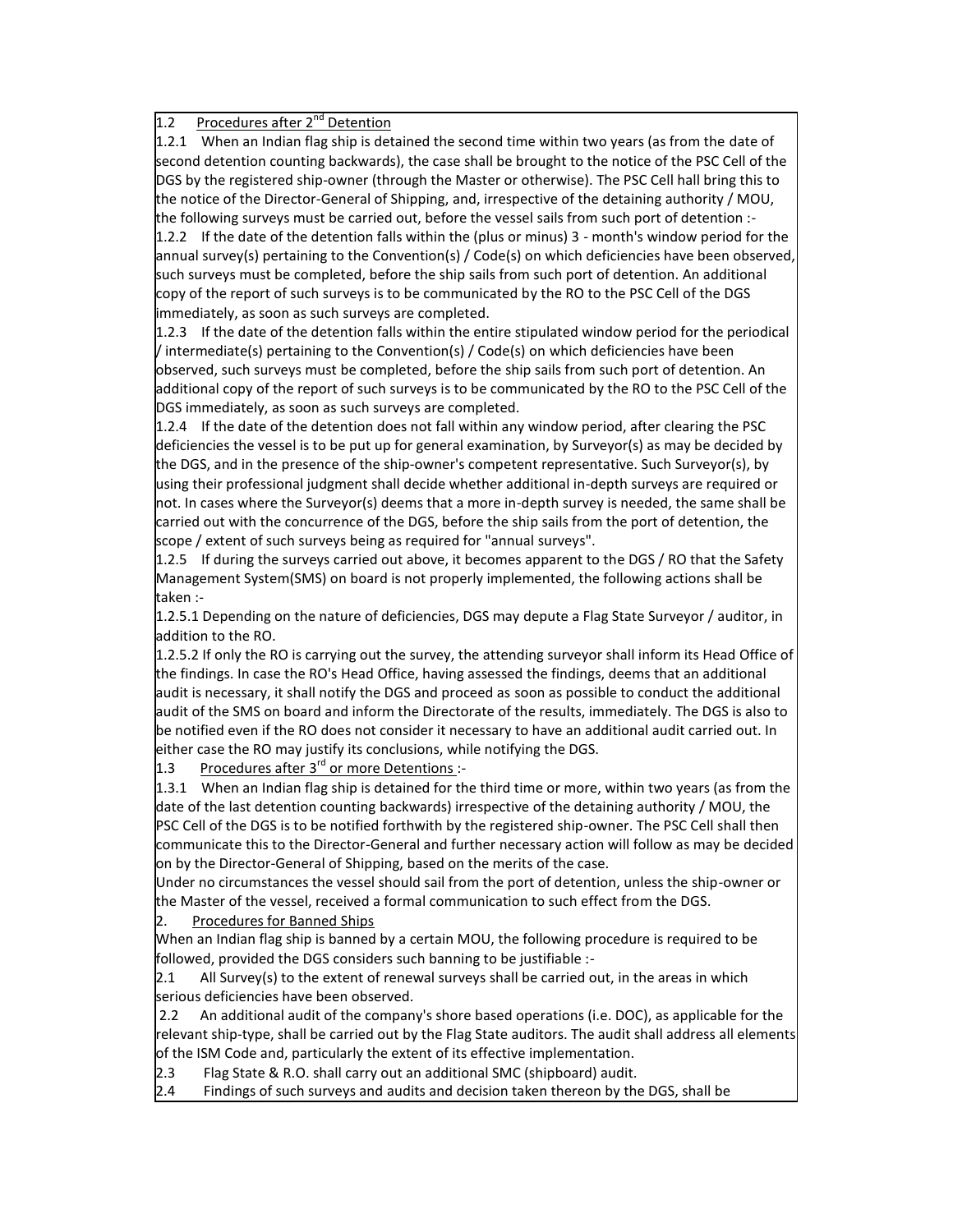## 1.2 Procedures after 2<sup>nd</sup> Detention

1.2.1 When an Indian flag ship is detained the second time within two years (as from the date of second detention counting backwards), the case shall be brought to the notice of the PSC Cell of the DGS by the registered ship-owner (through the Master or otherwise). The PSC Cell hall bring this to the notice of the Director-General of Shipping, and, irrespective of the detaining authority / MOU, the following surveys must be carried out, before the vessel sails from such port of detention :-

1.2.2 If the date of the detention falls within the (plus or minus) 3 - month's window period for the annual survey(s) pertaining to the Convention(s) / Code(s) on which deficiencies have been observed, such surveys must be completed, before the ship sails from such port of detention. An additional copy of the report of such surveys is to be communicated by the RO to the PSC Cell of the DGS immediately, as soon as such surveys are completed.

1.2.3 If the date of the detention falls within the entire stipulated window period for the periodical / intermediate(s) pertaining to the Convention(s) / Code(s) on which deficiencies have been observed, such surveys must be completed, before the ship sails from such port of detention. An additional copy of the report of such surveys is to be communicated by the RO to the PSC Cell of the DGS immediately, as soon as such surveys are completed.

1.2.4 If the date of the detention does not fall within any window period, after clearing the PSC deficiencies the vessel is to be put up for general examination, by Surveyor(s) as may be decided by the DGS, and in the presence of the ship-owner's competent representative. Such Surveyor(s), by using their professional judgment shall decide whether additional in-depth surveys are required or not. In cases where the Surveyor(s) deems that a more in-depth survey is needed, the same shall be carried out with the concurrence of the DGS, before the ship sails from the port of detention, the scope / extent of such surveys being as required for "annual surveys".

1.2.5 If during the surveys carried out above, it becomes apparent to the DGS / RO that the Safety Management System(SMS) on board is not properly implemented, the following actions shall be taken :-

1.2.5.1 Depending on the nature of deficiencies, DGS may depute a Flag State Surveyor / auditor, in addition to the RO.

1.2.5.2 If only the RO is carrying out the survey, the attending surveyor shall inform its Head Office of the findings. In case the RO's Head Office, having assessed the findings, deems that an additional audit is necessary, it shall notify the DGS and proceed as soon as possible to conduct the additional audit of the SMS on board and inform the Directorate of the results, immediately. The DGS is also to be notified even if the RO does not consider it necessary to have an additional audit carried out. In either case the RO may justify its conclusions, while notifying the DGS.

1.3 Procedures after  $3^{rd}$  or more Detentions :-

1.3.1 When an Indian flag ship is detained for the third time or more, within two years (as from the date of the last detention counting backwards) irrespective of the detaining authority / MOU, the PSC Cell of the DGS is to be notified forthwith by the registered ship-owner. The PSC Cell shall then communicate this to the Director-General and further necessary action will follow as may be decided on by the Director-General of Shipping, based on the merits of the case.

Under no circumstances the vessel should sail from the port of detention, unless the ship-owner or the Master of the vessel, received a formal communication to such effect from the DGS.

2. Procedures for Banned Ships

When an Indian flag ship is banned by a certain MOU, the following procedure is required to be followed, provided the DGS considers such banning to be justifiable :-

 $2.1$  All Survey(s) to the extent of renewal surveys shall be carried out, in the areas in which serious deficiencies have been observed.

2.2 An additional audit of the company's shore based operations (i.e. DOC), as applicable for the relevant ship-type, shall be carried out by the Flag State auditors. The audit shall address all elements of the ISM Code and, particularly the extent of its effective implementation.

2.3 Flag State & R.O. shall carry out an additional SMC (shipboard) audit.

2.4 Findings of such surveys and audits and decision taken thereon by the DGS, shall be